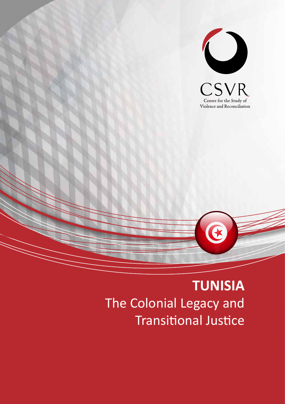

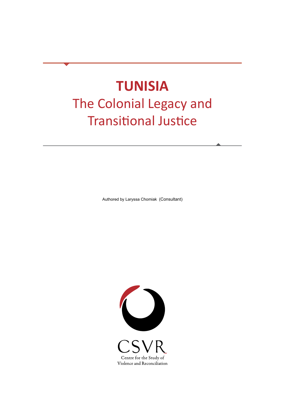Authored by Laryssa Chomiak (Consultant)

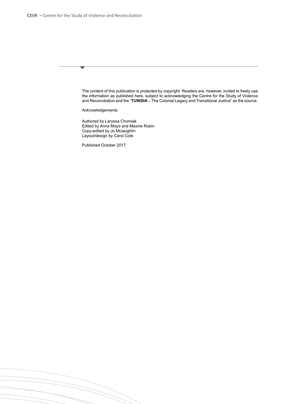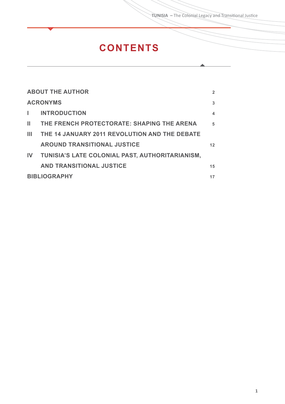A

# **CONTENTS**

| <b>ABOUT THE AUTHOR</b> |                                                 |    |  |
|-------------------------|-------------------------------------------------|----|--|
| <b>ACRONYMS</b>         |                                                 |    |  |
|                         | <b>INTRODUCTION</b>                             | 4  |  |
| Ш                       | THE FRENCH PROTECTORATE: SHAPING THE ARENA      | 5  |  |
| ш                       | THE 14 JANUARY 2011 REVOLUTION AND THE DEBATE   |    |  |
|                         | <b>AROUND TRANSITIONAL JUSTICE</b>              | 12 |  |
| $\mathbf{I}$            | TUNISIA'S LATE COLONIAL PAST, AUTHORITARIANISM, |    |  |
|                         | <b>AND TRANSITIONAL JUSTICE</b>                 | 15 |  |
| <b>BIBLIOGRAPHY</b>     |                                                 |    |  |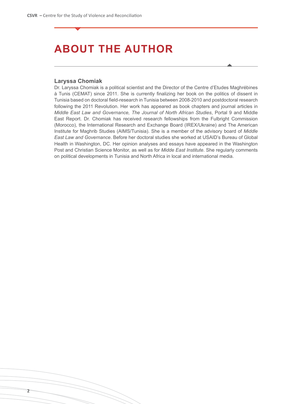# **ABOUT THE AUTHOR**

#### **Laryssa Chomiak**

Dr. Laryssa Chomiak is a political scientist and the Director of the Centre d'Etudes Maghrébines à Tunis (CEMAT) since 2011. She is currently finalizing her book on the politics of dissent in Tunisia based on doctoral field-research in Tunisia between 2008-2010 and postdoctoral research following the 2011 Revolution. Her work has appeared as book chapters and journal articles in *Middle East Law and Governance, The Journal of North African Studies*, Portal 9 and Middle East Report. Dr. Chomiak has received research fellowships from the Fulbright Commission (Morocco), the International Research and Exchange Board (IREX/Ukraine) and The American Institute for Maghrib Studies (AIMS/Tunisia). She is a member of the advisory board of *Middle East Law and Governance*. Before her doctoral studies she worked at USAID's Bureau of Global Health in Washington, DC. Her opinion analyses and essays have appeared in the Washington Post and Christian Science Monitor, as well as for *Midde East Institute*. She regularly comments on political developments in Tunisia and North Africa in local and international media.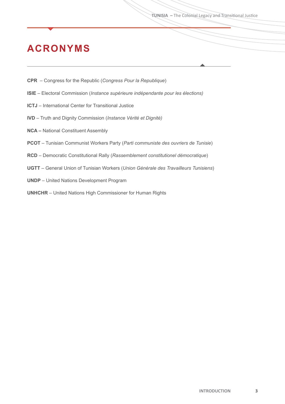# **ACRONYMS**

- **CPR** Congress for the Republic (*Congress Pour la Republique*)
- **ISIE** Electoral Commission (*Instance supérieure indépendante pour les élections)*
- **ICTJ** International Center for Transitional Justice
- **IVD** Truth and Dignity Commission (*Instance Vérité et Dignité)*
- **NCA** National Constituent Assembly
- **PCOT** Tunisian Communist Workers Party (*Parti communiste des ouvriers de Tunisie*)
- **RCD**  Democratic Constitutional Rally (*Rassemblement constitutionel démocratique*)
- **UGTT** General Union of Tunisian Workers (*Union Générale des Travailleurs Tunisiens*)
- **UNDP** United Nations Development Program
- **UNHCHR** United Nations High Commissioner for Human Rights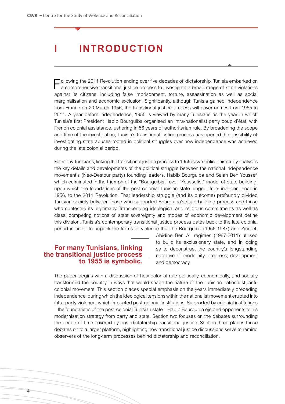# **I INTRODUCTION**

Following the 2011 Revolution ending over five decades of dictatorship, Tunisia embarked on a comprehensive transitional justice process to investigate a broad range of state violations against its citizens, including false imprisonment, torture, assassination as well as social marginalisation and economic exclusion. Significantly, although Tunisia gained independence from France on 20 March 1956, the transitional justice process will cover crimes from 1955 to 2011. A year before independence, 1955 is viewed by many Tunisians as the year in which Tunisia's first President Habib Bourguiba organised an intra-nationalist party coup d'état, with French colonial assistance, ushering in 56 years of authoritarian rule. By broadening the scope and time of the investigation, Tunisia's transitional justice process has opened the possibility of investigating state abuses rooted in political struggles over how independence was achieved during the late colonial period.

For many Tunisians, linking the transitional justice process to 1955 is symbolic. This study analyses the key details and developments of the political struggle between the national independence movement's (Neo-Destour party) founding leaders, Habib Bourguiba and Salah Ben Youssef, which culminated in the triumph of the "Bourguibist" over "Youssefist" model of state-building, upon which the foundations of the post-colonial Tunisian state hinged, from independence in 1956, to the 2011 Revolution. That leadership struggle (and its outcome) profoundly divided Tunisian society between those who supported Bourguiba's state-building process and those who contested its legitimacy. Transcending ideological and religious commitments as well as class, competing notions of state sovereignty and modes of economic development define this division. Tunisia's contemporary transitional justice process dates back to the late colonial period in order to unpack the forms of violence that the Bourguiba (1956-1987) and Zine el-

#### **For many Tunisians, linking the transitional justice process to 1955 is symbolic.**

Abidine Ben Ali regimes (1987-2011) utilised to build its exclusionary state, and in doing so to deconstruct the country's longstanding narrative of modernity, progress, development and democracy.

The paper begins with a discussion of how colonial rule politically, economically, and socially transformed the country in ways that would shape the nature of the Tunisian nationalist, anticolonial movement. This section places special emphasis on the years immediately preceding independence, during which the ideological tensions within the nationalist movement erupted into intra-party violence, which impacted post-colonial institutions. Supported by colonial institutions – the foundations of the post-colonial Tunisian state – Habib Bourguiba ejected opponents to his modernisation strategy from party and state. Section two focuses on the debates surrounding the period of time covered by post-dictatorship transitional justice. Section three places those debates on to a larger platform, highlighting how transitional justice discussions serve to remind observers of the long-term processes behind dictatorship and reconciliation.

**4 5**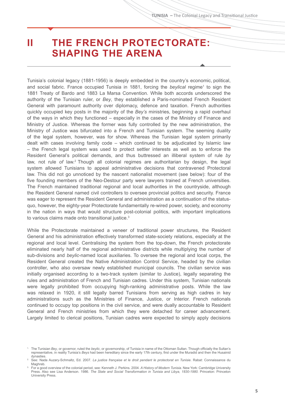# **II THE FRENCH PROTECTORATE: SHAPING THE ARENA**

Tunisia's colonial legacy (1881-1956) is deeply embedded in the country's economic, political, and social fabric. France occupied Tunisia in 1881, forcing the *beylical* regime<sup>1</sup> to sign the 1881 Treaty of Bardo and 1883 La Marsa Convention. While both accords underscored the authority of the Tunisian ruler, or *Bey*, they established a Paris-nominated French Resident General with paramount authority over diplomacy, defence and taxation. French authorities quickly occupied key posts in the majority of the *Bey's* ministries, beginning a rapid overhaul of the ways in which they functioned – especially in the cases of the Ministry of Finance and Ministry of Justice. Whereas the former was fully controlled by the new administration, the Ministry of Justice was bifurcated into a French and Tunisian system. The seeming duality of the legal system, however, was for show. Whereas the Tunisian legal system primarily dealt with cases involving family code – which continued to be adjudicated by Islamic law – the French legal system was used to protect settler interests as well as to enforce the Resident General's political demands, and thus buttressed an illiberal system of rule *by* law, not rule *of* law.2 Though all colonial regimes are authoritarian by design, the legal system allowed Tunisians to appeal administrative decisions that contravened Protectoral law. This did not go unnoticed by the nascent nationalist movement (see below): four of the five founding members of the Neo-Destour party were lawyers trained at French universities. The French maintained traditional regional and local authorities in the countryside, although the Resident General named civil controllers to oversee provincial politics and security. France was eager to represent the Resident General and administration as a continuation of the statusquo, however, the eighty-year Protectorate fundamentally re-wired power, society, and economy in the nation in ways that would structure post-colonial politics, with important implications to various claims made onto transitional justice.<sup>3</sup>

While the Protectorate maintained a veneer of traditional power structures, the Resident General and his administration effectively transformed state-society relations, especially at the regional and local level. Centralising the system from the top-down, the French protectorate eliminated nearly half of the regional administrative districts while multiplying the number of sub-divisions and *beylic*-named local auxiliaries. To oversee the regional and local corps, the Resident General created the Native Administration Control Service, headed by the civilian controller, who also oversaw newly established municipal councils. The civilian service was initially organised according to a two-track system (similar to Justice), legally separating the rules and administration of French and Tunisian cadres. Under this system, Tunisian nationals were legally prohibited from occupying high-ranking administrative posts. While the law was relaxed in 1920, it still legally barred Tunisians from serving as high cadres in key administrations such as the Ministries of Finance, Justice, or Interior. French nationals continued to occupy top positions in the civil service, and were dually accountable to Resident General and French ministries from which they were detached for career advancement. Largely limited to clerical positions, Tunisian cadres were expected to simply apply decisions

<sup>1.</sup> The Tunisian *Bey*, or governor, ruled the *beylic*, or governorship, of Tunisia in name of the Ottoman Sultan. Though officially the Sultan's representative, in reality Tunisia's *Beys* had been hereditary since the early 17th century, first under the Muradid and then the Husainid dynasties.

<sup>2.</sup> See: Nada Auzary-Schmaltz, Ed. 2007. *La justice française et le droit pendant le protectorat en Tunisie*. Rabat: Connaissance du Maghreb.

<sup>3.</sup> For a good overview of the colonial period, see: Kenneth J. Perkins. 2004. *A History of Modern Tunisia*. New York: Cambridge University Press. Also see Lisa Anderson. 1986. *The State and Social Transformation in Tunisia and Libya, 1830-1980.* Princeton: Princeton University Press.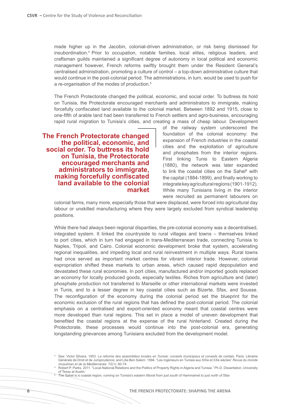made higher up in the Jacobin, colonial-driven administration, or risk being dismissed for insubordination.4 Prior to occupation, notable families, local elites, religious leaders, and craftsman guilds maintained a significant degree of autonomy in local political and economic management however, French reforms swiftly brought them under the Resident General's centralised administration, promoting a culture of control – a top-down administrative culture that would continue in the post-colonial period. The administrations, in turn, would be used to push for a re-organisation of the modes of production.<sup>5</sup>

The French Protectorate changed the political, economic, and social order. To buttress its hold on Tunisia, the Protectorate encouraged merchants and administrators to immigrate, making forcefully confiscated land available to the colonial market. Between 1892 and 1915, close to one-fifth of arable land had been transferred to French settlers and agro-business, encouraging rapid rural migration to Tunisia's cities, and creating a mass of cheap labour. Development

**The French Protectorate changed the political, economic, and social order. To buttress its hold on Tunisia, the Protectorate encouraged merchants and administrators to immigrate, making forcefully confiscated land available to the colonial market** of the railway system underscored the foundation of the colonial economy: the expansion of French industries in the coastal cities and the exploitation of agriculture and phosphates from the interior regions. First linking Tunis to Eastern Algeria (1880), the network was later expanded to link the coastal cities on the Sahel<sup>6</sup> with the capital (1884-1899), and finally working to integrate key agricultural regions (1901-1912). While many Tunisians living in the interior were recruited as permanent labourers on

colonial farms, many more, especially those that were displaced, were forced into agricultural day labour or unskilled manufacturing where they were largely excluded from syndical leadership positions.

While there had always been regional disparities, the pre-colonial economy was a decentralised, integrated system. It linked the countryside to rural villages and towns – themselves linked to port cities, which in turn had engaged in trans-Mediterranean trade, connecting Tunisia to Naples, Tripoli, and Cairo. Colonial economic development broke that system, accelerating regional inequalities, and impeding local and rural reinvestment in multiple ways. Rural towns had once served as important market centres for vibrant interior trade. However, colonial expropriation shifted these markets to urban areas, which caused rapid depopulation and devastated these rural economies. In port cities, manufactured and/or imported goods replaced an economy for locally produced goods, especially textiles. Riches from agriculture and (later) phosphate production not transferred to Marseille or other international markets were invested in Tunis, and to a lesser degree in key coastal cities such as Bizerte, Sfax, and Sousse. The reconfiguration of the economy during the colonial period set the blueprint for the economic exclusion of the rural regions that has defined the post-colonial period. The colonial emphasis on a centralised and export-oriented economy meant that coastal centres were more developed than rural regions. This set in place a model of uneven development that benefited the coastal regions at the expense of the rural hinterland. Created during the Protectorate, these processes would continue into the post-colonial era, generating longstanding grievances among Tunisians excluded from the development model.

<sup>4.</sup> See: Victor Silvera. 1953. *La reforme des assemblées locales en Tunisie: conseils municipaux et conseils de caïdats*. Paris: Librairie Générale de Droit et de Jurisprudence; and Lilia Ben Salem. 1994. "Les ingénieurs en Tunisie aux XIXe et XXe siècles" *Revue du monde musulman et de la Méditerranée*. 72(1): 60-74.

<sup>5.</sup> Robert P. Parks. 2011. "Local-National Relations and the Politics of Property Rights in Algeria and Tunisia." Ph.D. Dissertation, University of Texas at Austin.

The Sahel is a coastal region, running on Tunisia's eastern littoral from just south of Hammamet to just north of Sfax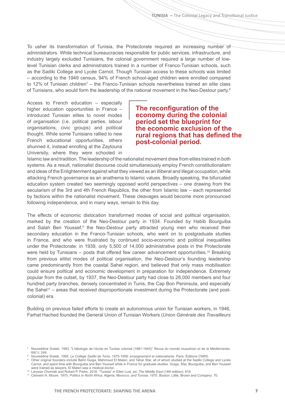To usher its transformation of Tunisia, the Protectorate required an increasing number of administrators. While technical bureaucracies responsible for public services, infrastructure, and industry largely excluded Tunisians, the colonial government required a large number of lowlevel Tunisian clerks and administrators trained in a number of Franco-Tunisian schools, such as the Sadiki College and Lycée Carnot. Though Tunisian access to these schools was limited – according to the 1949 census, 94% of French school-aged children were enrolled compared to 12% of Tunisian children<sup>7</sup> – the Franco-Tunisian schools nevertheless trained an elite class of Tunisians, who would form the leadership of the national movement in the Neo-Destour party.<sup>8</sup>

Access to French education – especially higher education opportunities in France – introduced Tunisian elites to novel modes of organisation (i.e. political parties, labour organisations, civic groups) and political thought. While some Tunisians rallied to new French educational opportunities, others shunned it, instead enrolling at the Zaytouna University, where they were schooled in

#### **The reconfiguration of the economy during the colonial period set the blueprint for the economic exclusion of the rural regions that has defined the post-colonial period.**

Islamic law and tradition. The leadership of the nationalist movement drew from elites trained in both systems. As a result, nationalist discourse could simultaneously employ French constitutionalism and ideas of the Enlightenment against what they viewed as an illiberal and illegal occupation, while attacking French governance as an anathema to Islamic values. Broadly speaking, the bifurcated education system created two seemingly opposed world perspectives – one drawing from the secularism of the 3rd and 4th French Republics, the other from Islamic law – each represented by factions within the nationalist movement. These cleavages would become more pronounced following independence, and in many ways, remain to this day.

The effects of economic dislocation transformed modes of social and political organisation, marked by the creation of the Neo-Destour party in 1934. Founded by Habib Bourguiba and Salah Ben Youssef,<sup>9</sup> the Neo-Destour party attracted young men who received their secondary education in the Franco-Tunisian schools, who went on to postgraduate studies in France, and who were frustrated by continued socio-economic and political inequalities under the Protectorate: in 1939, only 5,500 of 14,000 administrative posts in the Protectorate were held by Tunisians – posts that offered few career advancement opportunities.<sup>10</sup> Breaking from previous elitist modes of political organisation, the Neo-Destour's founding leadership came predominantly from the coastal Sahel region, and believed that only mass mobilisation could ensure political and economic development in preparation for independence. Extremely popular from the outset, by 1937, the Neo-Destour party had close to 28,000 members and four hundred party branches, densely concentrated in Tunis, the Cap Bon Peninsula, and especially the Sahel<sup>11</sup> – areas that received disproportionate investment during the Protectorate (and postcolonial) era.

Building on previous failed efforts to create an autonomous union for Tunisian workers, in 1946, Farhat Hached founded the General Union of Tunisian Workers (*Union Générale des Travailleurs* 

<sup>7.</sup> Noureddine Sraieb. 1993. "L'idéologie de l'école en Tunisie colonial (1881-1945)" *Revue du monde musulman et de la Méditerranée*. 68(1): 249.

<sup>8.</sup> Noureddine Sraieb. 1995. *Le Collège Sadiki de Tunis, 1875-1956: enseignement et nationalisme*. Paris: Éditions CNRS.

<sup>9.</sup> Other original founders include Bahri Guiga, Mahmoud El Materi, and Tahar Sfar, all of whom studied at the Sadiki College and Lycée Carnot, and spent time with Bourguiba and Ben Youssef while in France for graduate studies. Guiga, Sfar, Bourguiba, and Ben Youssef were trained as lawyers, El Materi was a medical doctor.

<sup>10.</sup> Laryssa Chomiak and Robert P. Parks. 2016. "Tunisia" in Ellen Lust, ed. *The Middle East* (14th edition): 816.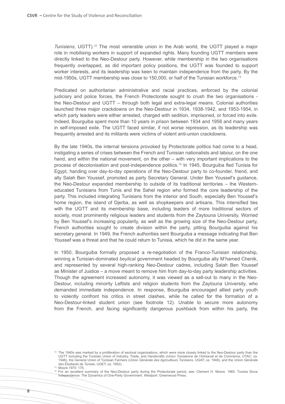*Tunisiens*, UGTT).12 The most venerable union in the Arab world, the UGTT played a major role in mobilising workers in support of expanded rights. Many founding UGTT members were directly linked to the Neo-Destour party. However, while membership in the two organisations frequently overlapped, as did important policy positions, the UGTT was founded to support worker interests, and its leadership was keen to maintain independence from the party. By the mid-1950s, UGTT membership was close to 150,000, or half of the Tunisian workforce.13

Predicated on authoritarian administrative and racial practices, enforced by the colonial judiciary and police forces, the French Protectorate sought to crush the two organisations the Neo-Destour and UGTT – through both legal and extra-legal means. Colonial authorities launched three major crackdowns on the Neo-Destour in 1934, 1938-1942, and 1953-1954, in which party leaders were either arrested, charged with sedition, imprisoned, or forced into exile. Indeed, Bourguiba spent more than 10 years in prison between 1934 and 1956 and many years in self-imposed exile. The UGTT faced similar, if not worse repression, as its leadership was frequently arrested and its militants were victims of violent anti-union crackdowns.

By the late 1940s, the internal tensions provoked by Protectorate politics had come to a head, instigating a series of crises between the French and Tunisian nationalists and labour, on the one hand, and within the national movement, on the other – with very important implications to the process of decolonisation and post-independence politics.14 In 1945, Bourguiba fled Tunisia for Egypt, handing over day-to-day operations of the Neo-Destour party to co-founder, friend, and ally Salah Ben Youssef, promoted as party Secretary General. Under Ben Youssef's guidance, the Neo-Destour expanded membership to outside of its traditional territories – the Westerneducated Tunisians from Tunis and the Sahel region who formed the core leadership of the party. This included integrating Tunisians from the interior and South, especially Ben Youssef's home region, the island of Djerba, as well as shopkeepers and artisans. This intensified ties with the UGTT and its membership base, including leaders of more traditional sectors of society, most prominently religious leaders and students from the Zaytouna University. Worried by Ben Youssef's increasing popularity, as well as the growing size of the Neo-Destour party, French authorities sought to create division within the party, pitting Bourguiba against his secretary general. In 1949, the French authorities sent Bourguiba a message indicating that Ben Youssef was a threat and that he could return to Tunisia, which he did in the same year.

In 1950, Bourguiba formally proposed a re-negotiation of the Franco-Tunisian relationship, winning a Tunisian-dominated *beylical* government headed by Bourguiba ally M'hamed Chenik, and represented by several high-ranking Neo-Destour cadres, including Salah Ben Youssef as Minister of Justice – a move meant to remove him from day-to-day party leadership activities. Though the agreement increased autonomy, it was viewed as a sell-out to many in the Neo-Destour, including minority Leftists and religion students from the Zaytouna University, who demanded immediate independence. In response, Bourguiba encouraged allied party youth to violently confront his critics in street clashes, while he called for the formation of a Neo-Destour-linked student union (see footnote 12). Unable to secure more autonomy from the French, and facing significantly dangerous pushback from within his party, the

<sup>&</sup>lt;sup>12</sup>. The 1940s was marked by a proliferation of sectoral organisations, which were more closely linked to the Neo-Destour party than the UGTT including the Tunisian Union of Industry, Trade, and Handicrafts (*Union Tunisienne de l'Artisanat et de Commerce*, UTAC; ca. 1948), the General Union of Tunisian Farmers (*Union Générale des Agriculteurs Tunisiens*, UGAT; ca. 1948), and the *Union Générale des Étudiants de Tunisie*, UGET; ca. 1952).

<sup>13.</sup> Moore 1970: 175.

<sup>&</sup>lt;sup>14.</sup> For an excellent summary of the Neo-Destour party during the Protectorate period, see: Clement H. Moore. 1965. Tunisia Since Independence: The Dynamics of One-Party Government. Westport: Greenwood Press.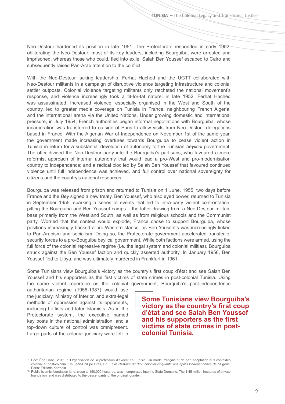Neo-Destour hardened its position in late 1951. The Protectorate responded in early 1952, obliterating the Neo-Destour: most of its key leaders, including Bourguiba, were arrested and imprisoned, whereas those who could, fled into exile. Salah Ben Youssef escaped to Cairo and subsequently raised Pan-Arab attention to the conflict.

With the Neo-Destour lacking leadership, Ferhat Hached and the UGTT collaborated with Neo-Destour militants in a campaign of disruptive violence targeting infrastructure and colonial settler outposts. Colonial violence targeting militants only ratcheted the national movement's response, and violence increasingly took a tit-for-tat nature: in late 1952, Ferhat Hached was assassinated. Increased violence, especially organised in the West and South of the country, led to greater media coverage on Tunisia in France, neighbouring French Algeria, and the international arena via the United Nations. Under growing domestic and international pressure, in July 1954, French authorities began informal negotiations with Bourguiba, whose incarceration was transferred to outside of Paris to allow visits from Neo-Destour delegations based in France. With the Algerian War of Independence on November 1st of the same year, the government made increasing overtures towards Bourguiba to cease violent action in Tunisia in return for a substantial devolution of autonomy to the Tunisian *beylical* government. The offer divided the Neo-Destour party into the Bourguiba's partisans, who favoured a more reformist approach of internal autonomy that would lead a pro-West and pro-modernisation country to independence; and a radical bloc led by Salah Ben Youssef that favoured continued violence until full independence was achieved, and full control over national sovereignty for citizens and the country's national resources.

Bourguiba was released from prison and returned to Tunisia on 1 June, 1955, two days before France and the *Bey* signed a new treaty. Ben Youssef, who also eyed power, returned to Tunisia in September 1955, sparking a series of events that led to intra-party violent confrontation, pitting the Bourguiba and Ben Youssef camps – the latter drawing from a Neo-Destour militant base primarily from the West and South, as well as from religious schools and the Communist party. Worried that the context would explode, France chose to support Bourguiba, whose positions increasingly backed a pro-Western stance, as Ben Youssef's was increasingly linked to Pan-Arabism and socialism. Doing so, the Protectorate government accelerated transfer of security forces to a pro-Bouguiba beylical government. While both factions were armed, using the full force of the colonial repressive regime (i.e. the legal system and colonial militias), Bourguiba struck against the Ben Youssef faction and quickly asserted authority. In January 1956, Ben Youssef fled to Libya, and was ultimately murdered in Frankfurt in 1961.

Some Tunisians view Bourguiba's victory as the country's first coup d'état and see Salah Ben Youssef and his supporters as the first victims of state crimes in post-colonial Tunisia. Using the same violent repertoire as the colonial government, Bourguiba's post-independence

authoritarian regime (1956-1987) would use the judiciary, Ministry of Interior, and extra-legal methods of oppression against its opponents, including Leftists and later Islamists. As in the Protectorate system, the executive named key posts in the national administration, and a top-down culture of control was omnipresent. Large parts of the colonial judiciary were left in

**Some Tunisians view Bourguiba's victory as the country's first coup d'état and see Salah Ben Youssef and his supporters as the first victims of state crimes in postcolonial Tunisia.** 

<sup>15.</sup> See: Éric Gobe. 2015. "L'Organisation de la profession d'avocat en Tunisie: Du model français et de son adaptation aux contextes colonial et post-colonial." In Jean-Phillipe Bras, Ed. *Faire l'histoire du droit colonial cinquante ans après l'indépendence de l'Algérie*. Paris: Éditions Karthala

<sup>&</sup>lt;sup>16.</sup> Public Islamic foundation land, close to 150,000 hectares, was incorporated into the State Domaine. The 1.45 million hectares of private foundation land was distributed to the descendants of the original founder.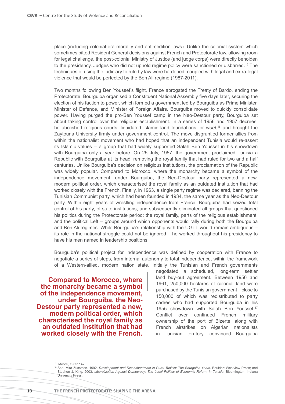place (including colonial-era morality and anti-sedition laws). Unlike the colonial system which sometimes pitted Resident General decisions against French and Protectorate law, allowing room for legal challenge, the post-colonial Ministry of Justice (and judge corps) were directly beholden to the presidency. Judges who did not uphold regime policy were sanctioned or disbarred.<sup>15</sup> The techniques of using the judiciary to rule by law were hardened, coupled with legal and extra-legal violence that would be perfected by the Ben Ali regime (1987-2011).

Two months following Ben Youssef's flight, France abrogated the Treaty of Bardo, ending the Protectorate. Bourguiba organised a Constituent National Assembly five days later, securing the election of his faction to power, which formed a government led by Bourguiba as Prime Minister, Minister of Defence, and Minister of Foreign Affairs. Bourguiba moved to quickly consolidate power. Having purged the pro-Ben Youssef camp in the Neo-Destour party, Bourguiba set about taking control over the religious establishment. In a series of 1956 and 1957 decrees, he abolished religious courts, liquidated Islamic land foundations, or *waqf*, <sup>16</sup> and brought the Zaytouna University firmly under government control. The move disgruntled former allies from within the nationalist movement who had hoped that an independent Tunisia would re-assert its Islamic values – a group that had widely supported Salah Ben Youssef in his showdown with Bourguiba only a year before. On 25 July, 1957, the government proclaimed Tunisia a Republic with Bourguiba at its head, removing the royal family that had ruled for two and a half centuries. Unlike Bourguiba's decision on religious institutions, the proclamation of the Republic was widely popular. Compared to Morocco, where the monarchy became a symbol of the independence movement, under Bourguiba, the Neo-Destour party represented a new, modern political order, which characterised the royal family as an outdated institution that had worked closely with the French. Finally, in 1963, a single party regime was declared, banning the Tunisian Communist party, which had been founded in 1934, the same year as the Neo-Destour party. Within eight years of wrestling independence from France, Bourguiba had seized total control of his party, of state institutions, and subsequently eliminated all groups that questioned his politics during the Protectorate period: the royal family, parts of the religious establishment, and the political Left – groups around which opponents would rally during both the Bourguiba and Ben Ali regimes. While Bourguiba's relationship with the UGTT would remain ambiguous – its role in the national struggle could not be ignored – he worked throughout his presidency to have his men named in leadership positions.

Bourguiba's political project for independence was defined by cooperation with France to negotiate a series of steps, from internal autonomy to total independence, within the framework of a Western-allied, modern nation state. Initially the Tunisian and French governments

**Compared to Morocco, where the monarchy became a symbol of the independence movement, under Bourguiba, the Neo-Destour party represented a new, modern political order, which characterised the royal family as an outdated institution that had worked closely with the French.** 

negotiated a scheduled, long-term settler land buy-out agreement. Between 1956 and 1961, 250,000 hectares of colonial land were purchased by the Tunisian government – close to 150,000 of which was redistributed to party cadres who had supported Bourguiba in his 1955 showdown with Salah Ben Youssef.<sup>17</sup> Conflict over continued French military ownership of the port of Bizerte, along with French airstrikes on Algerian nationalists in Tunisian territory, convinced Bourguiba

<sup>17.</sup> Moore, 1965: 142.

<sup>18.</sup> See: Mira Zussman. 1992. *Development and Disenchantment in Rural Tunisia: The Bourguiba Years*. Boulder: Westview Press; and Stephen J. King. 2003. *Liberalization Against Democracy: The Local Politics of Economic Reform in Tunisia*. Bloomington: Indiana University Press.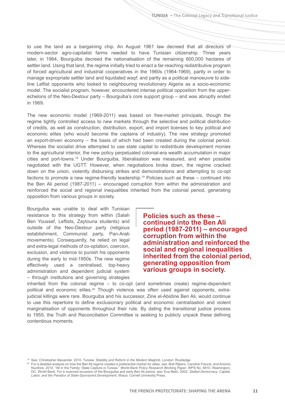to use the land as a bargaining chip. An August 1961 law decreed that all directors of modern-sector agro-capitalist farms needed to have Tunisian citizenship. Three years later, in 1964, Bourguiba decreed the nationalisation of the remaining 600,000 hectares of settler land. Using that land, the regime initially tried to enact a far-reaching redistributive program of forced agricultural and industrial cooperatives in the 1960s (1964-1969), partly in order to manage expropriate settler land and liquidated *waqf*, and partly as a political manoeuvre to sideline Leftist opponents who looked to neighbouring revolutionary Algeria as a socio-economic model. The socialist program, however, encountered intense political opposition from the upperechelons of the Neo-Destour party – Bourguiba's core support group – and was abruptly ended in 1969.

The new economic model (1969-2011) was based on free-market principals, though the regime tightly controlled access to new markets through the selective and political distribution of credits, as well as construction, distribution, export, and import licenses to key political and economic elites (who would become the captains of industry). The new strategy promoted an export-driven economy – the basis of which had been created during the colonial period. Whereas the socialist drive attempted to use state capital to redistribute development monies to the agricultural interior, the new policy perpetuated colonial-era wealth accumulation in major cities and port-towns.18 Under Bourguiba, liberalisation was measured, and when possible negotiated with the UGTT. However, when negotiations broke down, the regime cracked down on the union, violently disbursing strikes and demonstrations and attempting to co-opt factions to promote a new regime-friendly leadership.19 Policies such as these – continued into the Ben Ali period (1987-2011) – encouraged corruption from within the administration and reinforced the social and regional inequalities inherited from the colonial period, generating opposition from various groups in society.

Bourguiba was unable to deal with Tunisian resistance to this strategy from within (Salah Ben Youssef, Leftists, Zaytouna students) and outside of the Neo-Destour party (religious establishment, Communist party, Pan-Arab movements). Consequently, he relied on legal and extra-legal methods of co-optation, coercion, exclusion, and violence to punish his opponents during the early to mid-1950s. The new regime effectively used a centralised, top-heavy administration and dependent judicial system – through institutions and governing strategies

**Policies such as these – continued into the Ben Ali period (1987-2011) – encouraged corruption from within the administration and reinforced the social and regional inequalities inherited from the colonial period, generating opposition from various groups in society.**

inherited from the colonial regime  $-$  to co-opt (and sometimes create) regime-dependent political and economic elites.<sup>20</sup> Though violence was often used against opponents, extrajudicial killings were rare. Bourguiba and his successor, Zine el-Abidine Ben Ali, would continue to use this repertoire to define exclusionary political and economic centralisation and violent marginalisation of opponents throughout their rule. By dating the transitional justice process to 1955, the Truth and Reconciliation Committee is seeking to publicly unpack these defining contentious moments.

<sup>19.</sup> See: Christopher Alexander. 2010. Tunisia: *Stability and Reform in the Modern Maghrib*. London: Routledge.

<sup>&</sup>lt;sup>20.</sup> For a detailed analysis on how the Ben Ali regime created a preferential market for allies, see: Bob Rijkers, Caroline Freund, and Antonio Nucifora. 2014. "All in the Family: State Capture in Tunisia." *World Bank Policy Research Working Paper*. WPS No. 6810. Washington, DC: World Bank. For a nuanced iscussion of the Bourguiba and early Ben Ali period, see: Eva Belin. 2002. *Stalled Democracy: Capital, Labor, and the Paradox of State-Sponsored Development*. Ithaca: Cornell University Press.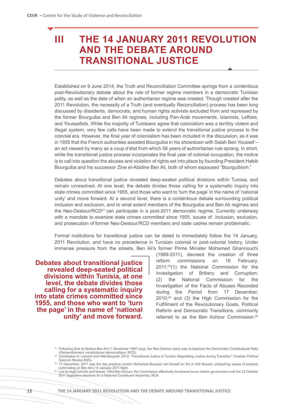### **III THE 14 JANUARY 2011 REVOLUTION AND THE DEBATE AROUND TRANSITIONAL JUSTICE**

Established on 9 June 2014, the Truth and Reconciliation Committee springs from a contentious post-Revolutionary debate about the role of former regime members in a democratic Tunisian polity, as well as the date of when an authoritarian regime was created. Though created after the 2011 Revolution, the necessity of a Truth (and eventually Reconciliation) process has been long discussed by dissidents, democrats, and human rights activists excluded from and repressed by the former Bourguiba and Ben Ali regimes, including Pan-Arab movements, Islamists, Leftists, and Youssefists. While the majority of Tunisians agree that colonialism was a terribly violent and illegal system, very few calls have been made to extend the transitional justice process to the colonial era. However, the final year of colonialism has been included in the discussion, as it was in 1955 that the French authorities assisted Bourguiba in his showdown with Salah Ben Youssef – an act viewed by many as a coup d'état from which 56 years of authoritarian rule sprang. In short, while the transitional justice process incorporates the final year of colonial occupation, the motive is to call into question the abuses and violation of rights set into place by founding President Habib Bourguiba and his successor Zine el-Abidine Ben Ali, both of whom espoused "Bourguibism."

Debates about transitional justice revealed deep-seated political divisions within Tunisia, and remain unresolved. At one level, the debate divides those calling for a systematic inquiry into state crimes committed since 1955, and those who want to 'turn the page' in the name of 'national unity' and move forward. At a second level, there is a contentious debate surrounding political inclusion and exclusion, and to what extent members of the Bourguiba and Ben Ali regimes and the Neo-Destour/RCD<sup>21</sup> can participate in a post-2011 democratic regime. Currently underway with a mandate to examine state crimes committed since 1955, issues of inclusion, exclusion, and prosecution of former Neo-Destour/RCD members and state cadres remain problematic.

Formal institutions for transitional justice can be dated to immediately follow the 14 January, 2011 Revolution, and have no precedence in Tunisian colonial or post-colonial history. Under immense pressure from the streets, Ben Ali's former Prime Minister Mohamed Ghannouchi

**Debates about transitional justice revealed deep-seated political divisions within Tunisia, at one level, the debate divides those calling for a systematic inquiry into state crimes committed since 1955, and those who want to 'turn the page' in the name of 'national unity' and move forward.**

(1999-2011), decreed the creation of three reform commissions on 18 February, 2011:22(1) the National Commission for the Investigation of Bribery and Corruption; (2) the National Commission for the Investigation of the Facts of Abuses Recorded during the Period from 17 December, 2010;23 and (3) the High Commission for the Fulfillment of the Revolutionary Goals, Political Reform and Democratic Transitions, commonly referred to as the Ben Achour Commission.<sup>24</sup>

<sup>&</sup>lt;sup>21.</sup> Following Zine el Abidine Ben Ali's 7 November 1987 coup, the Neo-Destour party was re-baptised the Democratic Constitutional Rally (*Rassemblement constitutionel démocratique*, RCD).

<sup>22.</sup> Christopher K. Lamont and Héla Boujneh. 2012. "Transitional Justice in Tunisia: Negotiating Justice during Transition" *Croatian Political Science Review* 49(5).

<sup>&</sup>lt;sup>23.</sup> 17 December, 2011 was the day produce vendor Mohamed Bouazizi set himself on fire in Sidi Bouzid, unleashing waves of protests culminating on Ben Ali's 14 January 2011 flight.

<sup>&</sup>lt;sup>24.</sup> Led by legal scholar and lawyer, Yahd Ben Achour, the Commission effectively functioned as an interim government until the 23 October 2011 legislative elections for a National Constituent Assembly, NCA.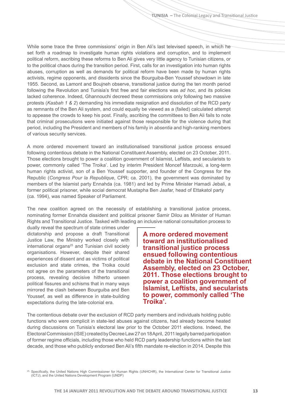While some trace the three commissions' origin in Ben Ali's last televised speech, in which he set forth a roadmap to investigate human rights violations and corruption, and to implement political reform, ascribing these reforms to Ben Ali gives very little agency to Tunisian citizens, or to the political chaos during the transition period. First, calls for an investigation into human rights abuses, corruption as well as demands for political reform have been made by human rights activists, regime opponents, and dissidents since the Bourguiba-Ben Youssef showdown in late 1955. Second, as Lamont and Boujneh observe, transitional justice during the ten month period following the Revolution and Tunisia's first free and fair elections was *ad hoc*, and its policies lacked coherence. Indeed, Ghannouchi decreed these commissions only following two massive protests (*Kasbah 1 & 2*) demanding his immediate resignation and dissolution of the RCD party as remnants of the Ben Ali system, and could equally be viewed as a (failed) calculated attempt to appease the crowds to keep his post. Finally, ascribing the committees to Ben Ali fails to note that criminal prosecutions were initiated against those responsible for the violence during that period, including the President and members of his family in *absentia* and high-ranking members of various security services.

A more ordered movement toward an institutionalised transitional justice process ensued following contentious debate in the National Constituent Assembly, elected on 23 October, 2011. Those elections brought to power a coalition government of Islamist, Leftists, and secularists to power, commonly called 'The Troika'. Led by interim President Moncef Marzouki, a long-term human rights activist, son of a Ben Youssef supporter, and founder of the Congress for the Republic (*Congress Pour la Republique*, CPR; ca. 2001), the government was dominated by members of the Islamist party Ennahda (ca. 1981) and led by Prime Minister Hamadi Jebali, a former political prisoner, while social democrat Mustapha Ben Jaafar, head of Ettakatol party (ca. 1994), was named Speaker of Parliament.

The new coalition agreed on the necessity of establishing a transitional justice process, nominating former Ennahda dissident and political prisoner Samir Dilou as Minister of Human Rights and Transitional Justice. Tasked with leading an inclusive national consultation process to

dually reveal the spectrum of state crimes under dictatorship and propose a draft Transitional Justice Law, the Ministry worked closely with international organs<sup>25</sup> and Tunisian civil society organisations. However, despite their shared experiences of dissent and as victims of political exclusion and state crimes, the Troika could not agree on the parameters of the transitional process, revealing decisive hitherto unseen political fissures and schisms that in many ways mirrored the clash between Bourguiba and Ben Youssef, as well as difference in state-building expectations during the late-colonial era.

**A more ordered movement toward an institutionalised transitional justice process ensued following contentious debate in the National Constituent Assembly, elected on 23 October, 2011. Those elections brought to power a coalition government of Islamist, Leftists, and secularists to power, commonly called 'The Troika'.**

The contentious debate over the exclusion of RCD party members and individuals holding public functions who were complicit in state-led abuses against citizens, had already become heated during discussions on Tunisia's electoral law prior to the October 2011 elections. Indeed, the Electoral Commission (ISIE) created by Decree Law 27 on 18 April, 2011 legally barred participation of former regime officials, including those who held RCD party leadership functions within the last decade, and those who publicly endorsed Ben Ali's fifth mandate re-election in 2014. Despite this

<sup>25.</sup> Specifically, the United Nations High Commissioner for Human Rights (UNHCHR), the International Center for Transitional Justice (ICTJ), and the United Nations Development Program (UNDP)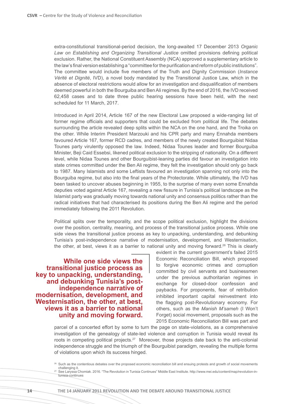extra-constitutional transitional-period decision, the long-awaited 17 December 2013 *Organic Law on Establishing and Organizing Transitional Justice* omitted provisions defining political exclusion. Rather, the National Constituent Assembly (NCA) approved a supplementary article to the law's final version establishing a "committee for the purification and reform of public institutions". The committee would include five members of the Truth and Dignity Commission (*Instance Vérité et Dignité*, IVD), a novel body mandated by the Transitional Justice Law, which in the absence of electoral restrictions would allow for an investigation and disqualification of members deemed powerful in both the Bourguiba and Ben Ali regimes. By the end of 2016, the IVD received 62,458 cases and to date three public hearing sessions have been held, with the next scheduled for 11 March, 2017.

Introduced in April 2014, Article 167 of the new Electoral Law proposed a wide-ranging list of former regime officials and supporters that could be excluded from political life. The debates surrounding the article revealed deep splits within the NCA on the one hand, and the Troika on the other. While Interim President Marzouki and his CPR party and many Ennahda members favoured Article 167, former RCD cadres, and members of the newly created Bourguibist Nidaa Tounes party virulently opposed the law. Indeed, Nidaa Tounes leader and former Bourguiba Minister, Beji Caid Essebsi, likened political exclusion to the stripping of nationality. On a different level, while Nidaa Tounes and other Bourguibist-leaning parties did favour an investigation into state crimes committed under the Ben Ali regime, they felt the investigation should only go back to 1987. Many Islamists and some Leftists favoured an investigation spanning not only into the Bourguiba regime, but also into the final years of the Protectorate. While ultimately, the IVD has been tasked to uncover abuses beginning in 1955, to the surprise of many even some Ennahda deputies voted against Article 167, revealing a new fissure in Tunisia's political landscape as the Islamist party was gradually moving towards national unity and consensus politics rather than the radical initiatives that had characterised its positions during the Ben Ali regime and the period immediately following the 2011 Revolution.

Political splits over the temporality, and the scope political exclusion, highlight the divisions over the position, centrality, meaning, and process of the transitional justice process. While one side views the transitional justice process as key to unpacking, understanding, and debunking Tunisia's post-independence narrative of modernisation, development, and Westernisation, the other, at best, views it as a barrier to national unity and moving forward.26 This is clearly

**While one side views the transitional justice process as key to unpacking, understanding, and debunking Tunisia's postindependence narrative of modernisation, development, and Westernisation, the other, at best, views it as a barrier to national unity and moving forward.**

evident in the current government's failed 2015 Economic Reconciliation Bill, which proposed to forgive economic crimes and corruption committed by civil servants and businessmen under the previous authoritarian regimes in exchange for closed-door confession and paybacks. For proponents, fear of retribution inhibited important capital reinvestment into the flagging post-Revolutionary economy. For others, such as the *Manish M'sameh* (I Won't Forget) social movement, proposals such as the 2015 Economic Reconciliation Bill was part and

parcel of a concerted effort by some to turn the page on state-violations, as a comprehensive investigation of the genealogy of state-led violence and corruption in Tunisia would reveal its roots in competing political projects.<sup>27</sup> Moreover, those projects date back to the anti-colonial independence struggle and the triumph of the Bourguibist paradigm, revealing the multiple forms of violations upon which its success hinged.

- <sup>26.</sup> Such as the contentious debates over the proposed economic reconciliation bill and ensuing protests and growth of social movements challenging it.
- 27. See Laryssa Chomiak. 2016. "The Revolution in Tunisia Continues" Middle East Institute. http://www.mei.edu/content/map/revolution-intunisia-continues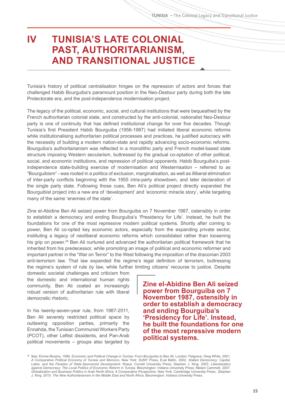### **IV TUNISIA'S LATE COLONIAL PAST, AUTHORITARIANISM, AND TRANSITIONAL JUSTICE**

Tunisia's history of political centralisation hinges on the repression of actors and forces that challenged Habib Bourguiba's paramount position in the Neo-Destour party during both the late Protectorate era, and the post-independence modernisation project.

The legacy of the political, economic, social, and cultural institutions that were bequeathed by the French authoritarian colonial state, and constructed by the anti-colonial, nationalist Neo-Destour party is one of continuity that has defined institutional change for over five decades. Though Tunisia's first President Habib Bourguiba (1956-1987) had initiated liberal economic reforms while institutionalising authoritarian political processes and practices, he justified autocracy with the necessity of building a modern nation-state and rapidly advancing socio-economic reforms. Bourguiba's authoritarianism was reflected in a monolithic party and French model-based state structure imposing Western secularism, buttressed by the gradual co-optation of other political, social, and economic institutions, and repression of political opponents. Habib Bourguiba's postindependence state-building exercise of modernisation and Westernisation – referred to as "Bourguibism" - was rooted in a politics of exclusion, marginalisation, as well as illiberal elimination of inter-party conflicts beginning with the 1955 intra-party showdown, and later declaration of the single party state. Following those cues, Ben Ali's political project directly expanded the Bourguibist project into a new era of 'development' and 'economic miracle story', while targeting many of the same 'enemies of the state'.

Zine el-Abidine Ben Ali seized power from Bourguiba on 7 November 1987, ostensibly in order to establish a democracy and ending Bourguiba's 'Presidency for Life'. Instead, he built the foundations for one of the most repressive modern political systems. Shortly after coming to power, Ben Ali co-opted key economic actors, especially from the expanding private sector, instituting a legacy of neoliberal economic reforms which consolidated rather than loosening his grip on power.<sup>28</sup> Ben Ali nurtured and advanced the authoritarian political framework that he inherited from his predecessor, while promoting an image of political and economic reformer and important partner in the "War on Terror" to the West following the imposition of the draconian 2003 anti-terrorism law. That law expanded the regime's legal definition of terrorism, buttressing the regime's system of rule *by* law, while further limiting citizens' recourse to justice. Despite

domestic societal challenges and criticism from the domestic and international human rights community, Ben Ali coated an increasingly robust version of authoritarian rule with liberal democratic rhetoric.

In his twenty-seven-year rule, from 1987-2011, Ben Ali severely restricted political space by outlawing opposition parties, primarily the Ennahda, the Tunisian Communist Workers Party (PCOT), other Leftist dissidents, and Pan-Arab political movements – groups also targeted by

**Zine el-Abidine Ben Ali seized power from Bourguiba on 7 November 1987, ostensibly in order to establish a democracy and ending Bourguiba's 'Presidency for Life'. Instead, he built the foundations for one of the most repressive modern political systems.**

<sup>28.</sup> See: Emma Murphy. 1999. *Economic and Political Change in Tunisia: From Bourguiba to Ben Ali*. London: Palgrave; Greg White. 2001. *A Comparative Political Economy of Tunisia and Morocco*. New York: SUNY Press; Eval Bellin. 2002. *Stalled Democracy: Capital, Labor, and the Paradox of State-Sponsored Development*. Ithaca: Cornell University Press; Stephen J. King. 2003. *Liberalization against Democracy: The Local Politics of Economic Reform in Tunisia*. Bloomington: Indiana University Press; Melani Cammett. 2007. *Globalization and Business Politics in Arab North Africa: A Comparative Perspective*. New York: Cambridge University Press; ,Stephen J. King. 2010. *The New Authoritarianism in the Middle East and North Africa*. Bloomington: Indiana University Press.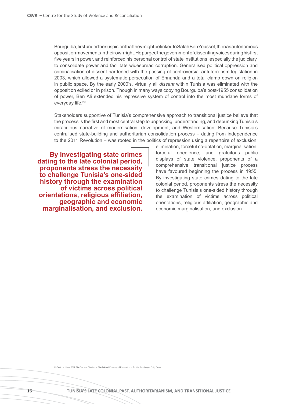Bourguiba, first under the suspicion that they might belinked to Salah Ben Youssef, then as autonomous opposition movements in their own right. He purged the government of dissenting voices during his first five years in power, and reinforced his personal control of state institutions, especially the judiciary, to consolidate power and facilitate widespread corruption. Generalised political oppression and criminalisation of dissent hardened with the passing of controversial anti-terrorism legislation in 2003, which allowed a systematic persecution of Ennahda and a total clamp down on religion in public space. By the early 2000's, virtually all *dissent* within Tunisia was eliminated with the opposition exiled or in prison. Though in many ways copying Bourguiba's post-1955 consolidation of power, Ben Ali extended his repressive system of control into the most mundane forms of everyday life.29

Stakeholders supportive of Tunisia's comprehensive approach to transitional justice believe that the process is the first and most central step to unpacking, understanding, and debunking Tunisia's miraculous narrative of modernisation, development, and Westernisation. Because Tunisia's centralised state-building and authoritarian consolidation process – dating from independence to the 2011 Revolution – was rooted in the politics of repression using a repertoire of exclusion,

**By investigating state crimes dating to the late colonial period, proponents stress the necessity to challenge Tunisia's one-sided history through the examination of victims across political orientations, religious affiliation, geographic and economic marginalisation, and exclusion.**

elimination, forceful co-optation, marginalisation, forceful obedience, and gratuitous public displays of state violence, proponents of a comprehensive transitional justice process have favoured beginning the process in 1955. By investigating state crimes dating to the late colonial period, proponents stress the necessity to challenge Tunisia's one-sided history through the examination of victims across political orientations, religious affiliation, geographic and economic marginalisation, and exclusion.

29 Beatrice Hibou. 2011. The Force of Obedience: The Political Economy of Repression in Tunisia. Cambridge: Polity Press.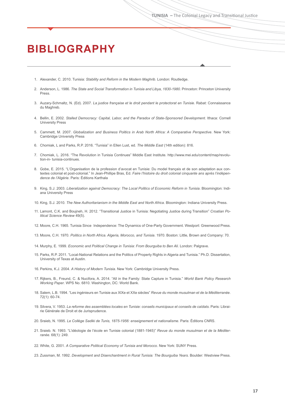# **BIBLIOGRAPHY**

- 1. Alexander, C. 2010. Tunisia: *Stability and Reform in the Modern Maghrib*. London: Routledge.
- 2. Anderson, L. 1986. *The State and Social Transformation in Tunisia and Libya, 1830-1980.* Princeton: Princeton University Press.
- 3. Auzary-Schmaltz, N. (Ed). 2007. *La justice française et le droit pendant le protectorat en Tunisie*. Rabat: Connaissance du Maghreb.
- 4. Bellin, E. 2002. *Stalled Democracy: Capital, Labor, and the Paradox of State-Sponsored Development*. Ithaca: Cornell University Press
- 5. Cammett, M. 2007. *Globalization and Business Politics in Arab North Africa: A Comparative Perspective*. New York: Cambridge University Press
- 6. Chomiak, L and Parks, R.P. 2016. "Tunisia" in Ellen Lust, ed. *The Middle East* (14th edition): 816.
- 7. Chomiak, L. 2016. "The Revolution in Tunisia Continues" Middle East Institute. http://www.mei.edu/content/map/revolution-in- tunisia-continues.
- 8. Gobe, E. 2015. "L'Organisation de la profession d'avocat en Tunisie: Du model français et de son adaptation aux contextes colonial et post-colonial." In Jean-Phillipe Bras, Ed. *Faire l'histoire du droit colonial cinquante ans après l'indépendence de l'Algérie*. Paris: Éditions Karthala
- 9. King, S.J. 2003. *Liberalization against Democracy: The Local Politics of Economic Reform in Tunisia*. Bloomington: Indiana University Press
- 10. King, S.J. 2010. *The New Authoritarianism in the Middle East and North Africa*. Bloomington: Indiana University Press.
- 11. Lamont, C.K. and Boujneh, H. 2012. "Transitional Justice in Tunisia: Negotiating Justice during Transition" *Croatian Political Science Review* 49(5).
- 12. Moore, C.H. 1965. Tunisia Since Independence: The Dynamics of One-Party Government. Westport: Greenwood Press.
- 13. Moore, C.H. 1970. *Politics in North Africa. Algeria, Morocco, and Tunisia*. 1970. Boston: Little, Brown and Company: 70.
- 14. Murphy, E. 1999. *Economic and Political Change in Tunisia: From Bourguiba to Ben Ali*. London: Palgrave.
- 15. Parks, R.P. 2011. "Local-National Relations and the Politics of Property Rights in Algeria and Tunisia." Ph.D. Dissertation, University of Texas at Austin.
- 16. Perkins, K.J. 2004. *A History of Modern Tunisia*. New York: Cambridge University Press.
- 17. Rijkers, B., Freund, C. & Nucifora, A. 2014. "All in the Family: State Capture in Tunisia." *World Bank Policy Research Working Paper*. WPS No. 6810. Washington, DC: World Bank.
- 18. Salem, L.B. 1994. "Les ingénieurs en Tunisie aux XIXe et XXe siècles" *Revue du monde musulman et de la Méditerranée*. 72(1): 60-74.
- 19. Silvera, V. 1953. *La reforme des assemblées locales en Tunisie: conseils municipaux et conseils de caïdats*. Paris: Librairie Générale de Droit et de Jurisprudence.
- 20. Sraieb, N. 1995. *Le Collège Sadiki de Tunis, 1875-1956: enseignement et nationalisme*. Paris: Éditions CNRS.
- 21. Sraieb. N. 1993. "L'idéologie de l'école en Tunisie colonial (1881-1945)" *Revue du monde musulman et de la Méditerranée*. 68(1): 249.
- 22. White, G. 2001. *A Comparative Political Economy of Tunisia and Morocco*. New York: SUNY Press.
- 23. Zussman, M. 1992. *Development and Disenchantment in Rural Tunisia: The Bourguiba Years*. Boulder: Westview Press.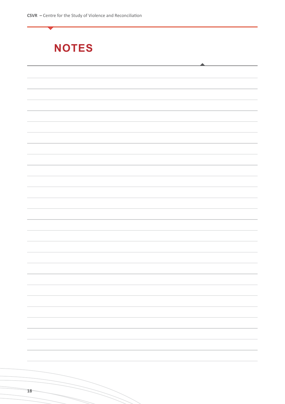| <b>NOTES</b> |  |  |  |  |
|--------------|--|--|--|--|
|              |  |  |  |  |
|              |  |  |  |  |
|              |  |  |  |  |
|              |  |  |  |  |
|              |  |  |  |  |
|              |  |  |  |  |
|              |  |  |  |  |
|              |  |  |  |  |
|              |  |  |  |  |
|              |  |  |  |  |
|              |  |  |  |  |
|              |  |  |  |  |
|              |  |  |  |  |
|              |  |  |  |  |
|              |  |  |  |  |
|              |  |  |  |  |
|              |  |  |  |  |
|              |  |  |  |  |
|              |  |  |  |  |
|              |  |  |  |  |
|              |  |  |  |  |
|              |  |  |  |  |
|              |  |  |  |  |
|              |  |  |  |  |
|              |  |  |  |  |
|              |  |  |  |  |
|              |  |  |  |  |
|              |  |  |  |  |
|              |  |  |  |  |

 $\gt$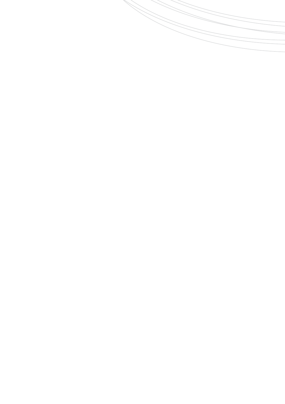